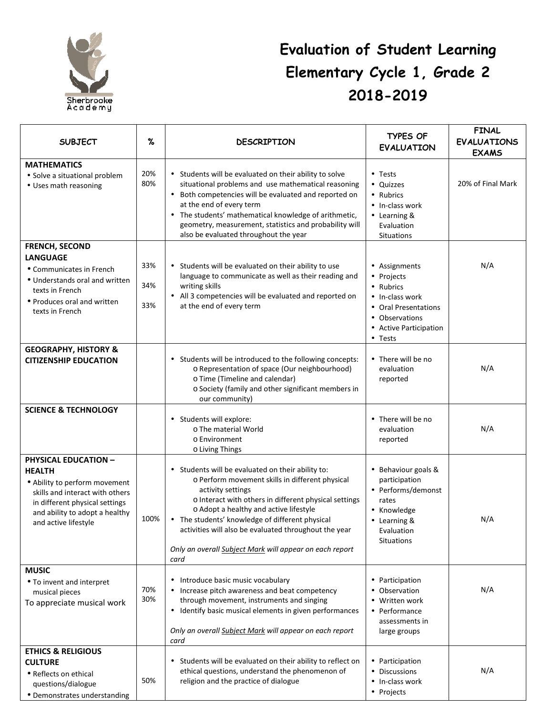

## **Evaluation of Student Learning Learning Elementary Cycle 1, Grade 2 2018-2019 1, 2019**

| <b>SUBJECT</b>                                                                                                                                                                                               | %                 | <b>DESCRIPTION</b>                                                                                                                                                                                                                                                                                                                                                                                          | <b>TYPES OF</b><br><b>EVALUATION</b>                                                                                                       | <b>FINAL</b><br><b>EVALUATIONS</b><br><b>EXAMS</b> |
|--------------------------------------------------------------------------------------------------------------------------------------------------------------------------------------------------------------|-------------------|-------------------------------------------------------------------------------------------------------------------------------------------------------------------------------------------------------------------------------------------------------------------------------------------------------------------------------------------------------------------------------------------------------------|--------------------------------------------------------------------------------------------------------------------------------------------|----------------------------------------------------|
| <b>MATHEMATICS</b><br>• Solve a situational problem<br>• Uses math reasoning                                                                                                                                 | 20%<br>80%        | • Students will be evaluated on their ability to solve<br>situational problems and use mathematical reasoning<br>• Both competencies will be evaluated and reported on<br>at the end of every term<br>• The students' mathematical knowledge of arithmetic,<br>geometry, measurement, statistics and probability will<br>also be evaluated throughout the year                                              | • Tests<br>• Quizzes<br>• Rubrics<br>• In-class work<br>• Learning &<br>Evaluation<br><b>Situations</b>                                    | 20% of Final Mark                                  |
| <b>FRENCH, SECOND</b><br><b>LANGUAGE</b><br>• Communicates in French<br>• Understands oral and written<br>texts in French<br>• Produces oral and written<br>texts in French                                  | 33%<br>34%<br>33% | • Students will be evaluated on their ability to use<br>language to communicate as well as their reading and<br>writing skills<br>• All 3 competencies will be evaluated and reported on<br>at the end of every term                                                                                                                                                                                        | • Assignments<br>• Projects<br>• Rubrics<br>• In-class work<br>• Oral Presentations<br>• Observations<br>• Active Participation<br>• Tests | N/A                                                |
| <b>GEOGRAPHY, HISTORY &amp;</b><br><b>CITIZENSHIP EDUCATION</b>                                                                                                                                              |                   | • Students will be introduced to the following concepts:<br>o Representation of space (Our neighbourhood)<br>o Time (Timeline and calendar)<br>o Society (family and other significant members in<br>our community)                                                                                                                                                                                         | • There will be no<br>evaluation<br>reported                                                                                               | N/A                                                |
| <b>SCIENCE &amp; TECHNOLOGY</b>                                                                                                                                                                              |                   | • Students will explore:<br>o The material World<br>o Environment<br>o Living Things                                                                                                                                                                                                                                                                                                                        | • There will be no<br>evaluation<br>reported                                                                                               | N/A                                                |
| <b>PHYSICAL EDUCATION -</b><br><b>HEALTH</b><br>• Ability to perform movement<br>skills and interact with others<br>in different physical settings<br>and ability to adopt a healthy<br>and active lifestyle | 100%              | • Students will be evaluated on their ability to:<br>o Perform movement skills in different physical<br>activity settings<br>o Interact with others in different physical settings<br>o Adopt a healthy and active lifestyle<br>• The students' knowledge of different physical<br>activities will also be evaluated throughout the year<br>Only an overall Subject Mark will appear on each report<br>card | • Behaviour goals &<br>participation<br>• Performs/demonst<br>rates<br>• Knowledge<br>• Learning &<br>Evaluation<br><b>Situations</b>      | N/A                                                |
| <b>MUSIC</b><br>• To invent and interpret<br>musical pieces<br>To appreciate musical work                                                                                                                    | 70%<br>30%        | • Introduce basic music vocabulary<br>Increase pitch awareness and beat competency<br>through movement, instruments and singing<br>• Identify basic musical elements in given performances<br>Only an overall Subject Mark will appear on each report<br>card                                                                                                                                               | • Participation<br>• Observation<br>• Written work<br>• Performance<br>assessments in<br>large groups                                      | N/A                                                |
| <b>ETHICS &amp; RELIGIOUS</b><br><b>CULTURE</b><br>• Reflects on ethical<br>questions/dialogue<br>• Demonstrates understanding                                                                               | 50%               | • Students will be evaluated on their ability to reflect on<br>ethical questions, understand the phenomenon of<br>religion and the practice of dialogue                                                                                                                                                                                                                                                     | • Participation<br>• Discussions<br>• In-class work<br>• Projects                                                                          | N/A                                                |